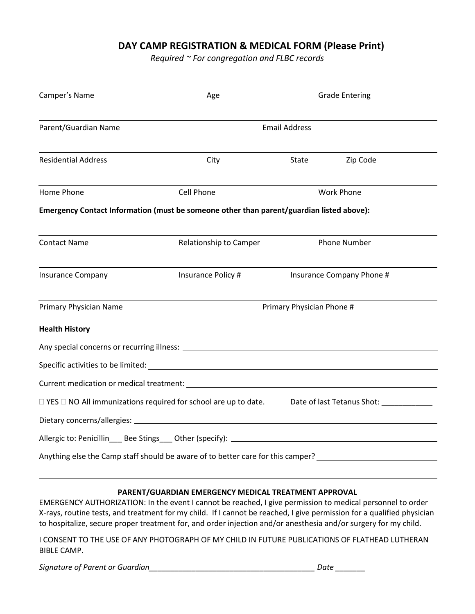## **DAY CAMP REGISTRATION & MEDICAL FORM (Please Print)**

*Required ~ For congregation and FLBC records*

| Camper's Name                                                                                            | Age                       | <b>Grade Entering</b>     |          |  |  |
|----------------------------------------------------------------------------------------------------------|---------------------------|---------------------------|----------|--|--|
| Parent/Guardian Name                                                                                     | <b>Email Address</b>      |                           |          |  |  |
| <b>Residential Address</b>                                                                               | City                      | State                     | Zip Code |  |  |
| Home Phone                                                                                               | Cell Phone                | <b>Work Phone</b>         |          |  |  |
| Emergency Contact Information (must be someone other than parent/guardian listed above):                 |                           |                           |          |  |  |
| <b>Contact Name</b>                                                                                      | Relationship to Camper    | <b>Phone Number</b>       |          |  |  |
| <b>Insurance Company</b>                                                                                 | Insurance Policy #        | Insurance Company Phone # |          |  |  |
| Primary Physician Name                                                                                   | Primary Physician Phone # |                           |          |  |  |
| <b>Health History</b>                                                                                    |                           |                           |          |  |  |
|                                                                                                          |                           |                           |          |  |  |
|                                                                                                          |                           |                           |          |  |  |
|                                                                                                          |                           |                           |          |  |  |
| □ YES □ NO All immunizations required for school are up to date. Date of last Tetanus Shot: ____________ |                           |                           |          |  |  |
|                                                                                                          |                           |                           |          |  |  |
|                                                                                                          |                           |                           |          |  |  |
| Anything else the Camp staff should be aware of to better care for this camper?                          |                           |                           |          |  |  |

## **PARENT/GUARDIAN EMERGENCY MEDICAL TREATMENT APPROVAL**

EMERGENCY AUTHORIZATION: In the event I cannot be reached, I give permission to medical personnel to order X-rays, routine tests, and treatment for my child. If I cannot be reached, I give permission for a qualified physician to hospitalize, secure proper treatment for, and order injection and/or anesthesia and/or surgery for my child.

I CONSENT TO THE USE OF ANY PHOTOGRAPH OF MY CHILD IN FUTURE PUBLICATIONS OF FLATHEAD LUTHERAN BIBLE CAMP.

*Signature of Parent or Guardian\_\_\_\_\_\_\_\_\_\_\_\_\_\_\_\_\_\_\_\_\_\_\_\_\_\_\_\_\_\_\_\_\_\_\_\_\_\_\_ Date \_\_\_\_\_\_\_*